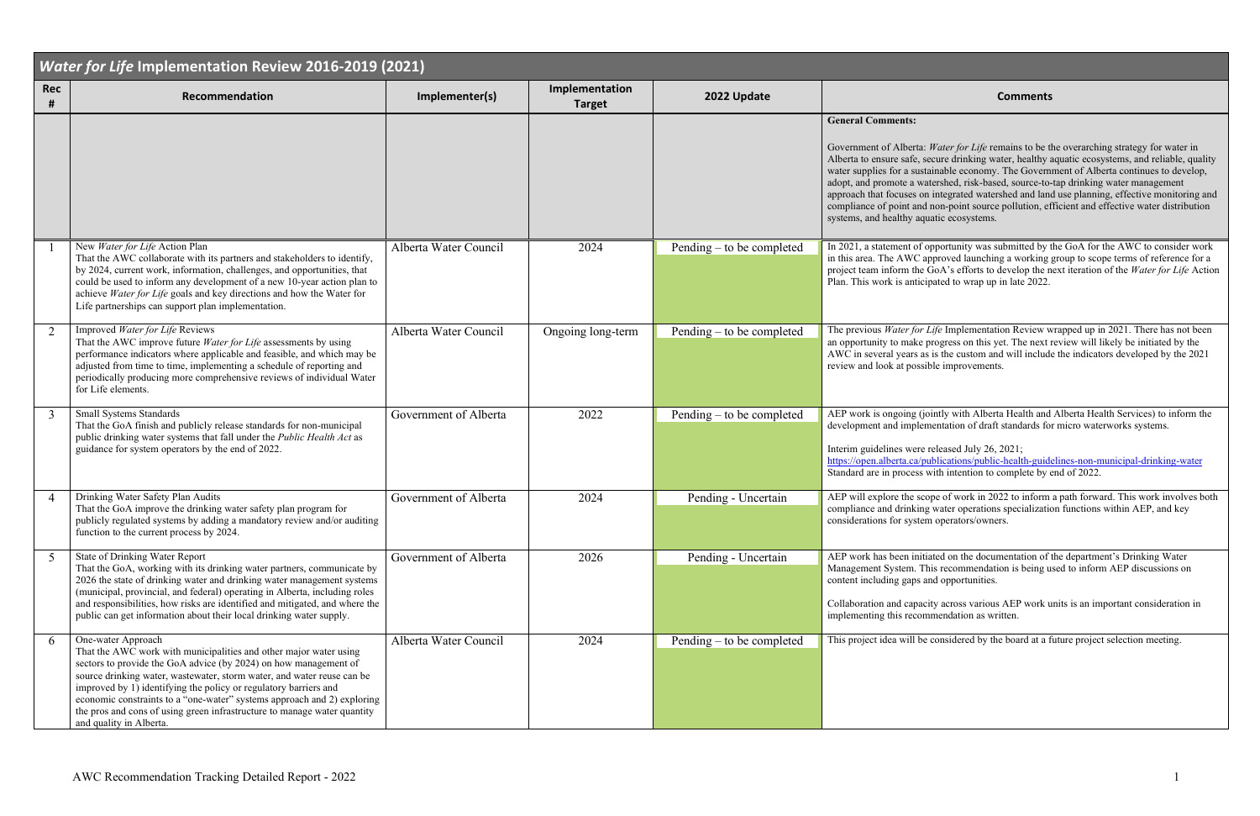| <b>Water for Life Implementation Review 2016-2019 (2021)</b> |                                                                                                                                                                                                                                                                                                                                                                                                                                                                                             |                       |                                 |                           |                                                                                                                                                                                                                                                                                                                                                                                                                                   |  |  |  |
|--------------------------------------------------------------|---------------------------------------------------------------------------------------------------------------------------------------------------------------------------------------------------------------------------------------------------------------------------------------------------------------------------------------------------------------------------------------------------------------------------------------------------------------------------------------------|-----------------------|---------------------------------|---------------------------|-----------------------------------------------------------------------------------------------------------------------------------------------------------------------------------------------------------------------------------------------------------------------------------------------------------------------------------------------------------------------------------------------------------------------------------|--|--|--|
| <b>Rec</b><br>#                                              | Recommendation                                                                                                                                                                                                                                                                                                                                                                                                                                                                              | Implementer(s)        | Implementation<br><b>Target</b> | 2022 Update               | <b>Comments</b>                                                                                                                                                                                                                                                                                                                                                                                                                   |  |  |  |
|                                                              |                                                                                                                                                                                                                                                                                                                                                                                                                                                                                             |                       |                                 |                           | <b>General Comments:</b><br>Government of Alberta: Water for Life remains to be the<br>Alberta to ensure safe, secure drinking water, healthy a<br>water supplies for a sustainable economy. The Govern<br>adopt, and promote a watershed, risk-based, source-to-<br>approach that focuses on integrated watershed and land<br>compliance of point and non-point source pollution, ef<br>systems, and healthy aquatic ecosystems. |  |  |  |
|                                                              | New Water for Life Action Plan<br>That the AWC collaborate with its partners and stakeholders to identify,<br>by 2024, current work, information, challenges, and opportunities, that<br>could be used to inform any development of a new 10-year action plan to<br>achieve Water for Life goals and key directions and how the Water for<br>Life partnerships can support plan implementation.                                                                                             | Alberta Water Council | 2024                            | Pending – to be completed | In 2021, a statement of opportunity was submitted by t<br>in this area. The AWC approved launching a working<br>project team inform the GoA's efforts to develop the n<br>Plan. This work is anticipated to wrap up in late 2022.                                                                                                                                                                                                 |  |  |  |
| $\overline{2}$                                               | Improved Water for Life Reviews<br>That the AWC improve future Water for Life assessments by using<br>performance indicators where applicable and feasible, and which may be<br>adjusted from time to time, implementing a schedule of reporting and<br>periodically producing more comprehensive reviews of individual Water<br>for Life elements.                                                                                                                                         | Alberta Water Council | Ongoing long-term               | Pending – to be completed | The previous Water for Life Implementation Review w<br>an opportunity to make progress on this yet. The next a<br>AWC in several years as is the custom and will include<br>review and look at possible improvements.                                                                                                                                                                                                             |  |  |  |
| 3                                                            | <b>Small Systems Standards</b><br>That the GoA finish and publicly release standards for non-municipal<br>public drinking water systems that fall under the Public Health Act as<br>guidance for system operators by the end of 2022.                                                                                                                                                                                                                                                       | Government of Alberta | 2022                            | Pending – to be completed | AEP work is ongoing (jointly with Alberta Health and<br>development and implementation of draft standards for<br>Interim guidelines were released July 26, 2021;<br>https://open.alberta.ca/publications/public-health-guide<br>Standard are in process with intention to complete by o                                                                                                                                           |  |  |  |
| $\boldsymbol{\Delta}$                                        | Drinking Water Safety Plan Audits<br>That the GoA improve the drinking water safety plan program for<br>publicly regulated systems by adding a mandatory review and/or auditing<br>function to the current process by 2024.                                                                                                                                                                                                                                                                 | Government of Alberta | 2024                            | Pending - Uncertain       | AEP will explore the scope of work in 2022 to inform<br>compliance and drinking water operations specialization<br>considerations for system operators/owners.                                                                                                                                                                                                                                                                    |  |  |  |
| 5                                                            | State of Drinking Water Report<br>That the GoA, working with its drinking water partners, communicate by<br>2026 the state of drinking water and drinking water management systems<br>(municipal, provincial, and federal) operating in Alberta, including roles<br>and responsibilities, how risks are identified and mitigated, and where the<br>public can get information about their local drinking water supply.                                                                      | Government of Alberta | 2026                            | Pending - Uncertain       | AEP work has been initiated on the documentation of<br>Management System. This recommendation is being u<br>content including gaps and opportunities.<br>Collaboration and capacity across various AEP work u<br>implementing this recommendation as written.                                                                                                                                                                     |  |  |  |
| 6                                                            | One-water Approach<br>That the AWC work with municipalities and other major water using<br>sectors to provide the GoA advice (by 2024) on how management of<br>source drinking water, wastewater, storm water, and water reuse can be<br>improved by 1) identifying the policy or regulatory barriers and<br>economic constraints to a "one-water" systems approach and 2) exploring<br>the pros and cons of using green infrastructure to manage water quantity<br>and quality in Alberta. | Alberta Water Council | 2024                            | Pending – to be completed | This project idea will be considered by the board at a f                                                                                                                                                                                                                                                                                                                                                                          |  |  |  |

Water for Life remains to be the overarching strategy for water in secure drinking water, healthy aquatic ecosystems, and reliable, quality tainable economy. The Government of Alberta continues to develop, ratershed, risk-based, source-to-tap drinking water management on integrated watershed and land use planning, effective monitoring and I non-point source pollution, efficient and effective water distribution uatic ecosystems.

opportunity was submitted by the GoA for the AWC to consider work approved launching a working group to scope terms of reference for a the GoA's efforts to develop the next iteration of the *Water for Life* Action electrian. Figure is anticipated to wrap up in late 2022.

 $\cdot$  *Life* Implementation Review wrapped up in 2021. There has not been progress on this yet. The next review will likely be initiated by the as is the custom and will include the indicators developed by the 2021 sible improvements.

jointly with Alberta Health and Alberta Health Services) to inform the ementation of draft standards for micro waterworks systems.

e released July 26, 2021; publications/public-health-guidelines-non-municipal-drinking-water with intention to complete by end of 2022.

cope of work in 2022 to inform a path forward. This work involves both g water operations specialization functions within AEP, and key em operators/owners.

tiated on the documentation of the department's Drinking Water This recommendation is being used to inform AEP discussions on and opportunities.

city across various AEP work units is an important consideration in mmendation as written.

e considered by the board at a future project selection meeting.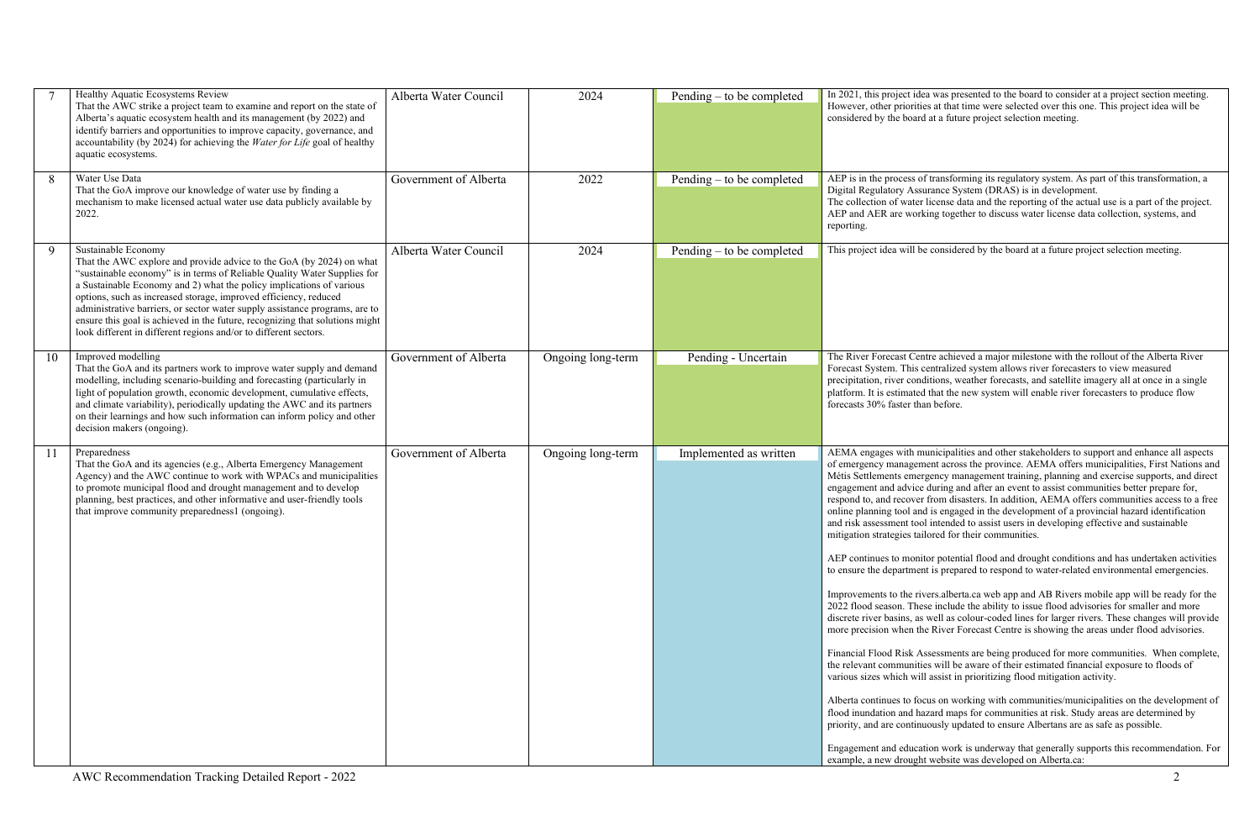|    | Healthy Aquatic Ecosystems Review<br>That the AWC strike a project team to examine and report on the state of<br>Alberta's aquatic ecosystem health and its management (by 2022) and<br>identify barriers and opportunities to improve capacity, governance, and<br>accountability (by 2024) for achieving the Water for Life goal of healthy<br>aquatic ecosystems.                                                                                                                                                                                   | Alberta Water Council | 2024              | Pending $-$ to be completed | In 2021, this project ide<br>However, other prioritie<br>considered by the board                                                                                                                                                                                                                                                                                                                                                                                                                                                                                                                            |
|----|--------------------------------------------------------------------------------------------------------------------------------------------------------------------------------------------------------------------------------------------------------------------------------------------------------------------------------------------------------------------------------------------------------------------------------------------------------------------------------------------------------------------------------------------------------|-----------------------|-------------------|-----------------------------|-------------------------------------------------------------------------------------------------------------------------------------------------------------------------------------------------------------------------------------------------------------------------------------------------------------------------------------------------------------------------------------------------------------------------------------------------------------------------------------------------------------------------------------------------------------------------------------------------------------|
| 8  | Water Use Data<br>That the GoA improve our knowledge of water use by finding a<br>mechanism to make licensed actual water use data publicly available by<br>2022.                                                                                                                                                                                                                                                                                                                                                                                      | Government of Alberta | 2022              | Pending – to be completed   | AEP is in the process of<br>Digital Regulatory Assu<br>The collection of water<br>AEP and AER are work<br>reporting.                                                                                                                                                                                                                                                                                                                                                                                                                                                                                        |
| 9  | Sustainable Economy<br>That the AWC explore and provide advice to the GoA (by 2024) on what<br>"sustainable economy" is in terms of Reliable Quality Water Supplies for<br>a Sustainable Economy and 2) what the policy implications of various<br>options, such as increased storage, improved efficiency, reduced<br>administrative barriers, or sector water supply assistance programs, are to<br>ensure this goal is achieved in the future, recognizing that solutions might<br>look different in different regions and/or to different sectors. | Alberta Water Council | 2024              | Pending $-$ to be completed | This project idea will be                                                                                                                                                                                                                                                                                                                                                                                                                                                                                                                                                                                   |
| 10 | Improved modelling<br>That the GoA and its partners work to improve water supply and demand<br>modelling, including scenario-building and forecasting (particularly in<br>light of population growth, economic development, cumulative effects,<br>and climate variability), periodically updating the AWC and its partners<br>on their learnings and how such information can inform policy and other<br>decision makers (ongoing).                                                                                                                   | Government of Alberta | Ongoing long-term | Pending - Uncertain         | The River Forecast Cen<br>Forecast System. This c<br>precipitation, river cond<br>platform. It is estimated<br>forecasts 30% faster tha                                                                                                                                                                                                                                                                                                                                                                                                                                                                     |
| 11 | Preparedness<br>That the GoA and its agencies (e.g., Alberta Emergency Management<br>Agency) and the AWC continue to work with WPACs and municipalities<br>to promote municipal flood and drought management and to develop<br>planning, best practices, and other informative and user-friendly tools<br>that improve community preparedness1 (ongoing).                                                                                                                                                                                              | Government of Alberta | Ongoing long-term | Implemented as written      | AEMA engages with m<br>of emergency managem<br>Métis Settlements emer<br>engagement and advice<br>respond to, and recover<br>online planning tool and<br>and risk assessment tool<br>mitigation strategies tail<br>AEP continues to monit<br>to ensure the departmen<br>Improvements to the riv<br>2022 flood season. Thes<br>discrete river basins, as<br>more precision when the<br>Financial Flood Risk As<br>the relevant communitie<br>various sizes which will<br>Alberta continues to foc<br>flood inundation and ha<br>priority, and are continu<br>Engagement and educat<br>example, a new drought |

ea was presented to the board to consider at a project section meeting. es at that time were selected over this one. This project idea will be at a future project selection meeting.

Itransforming its regulatory system. As part of this transformation, a urance System (DRAS) is in development.

Icense data and the reporting of the actual use is a part of the project. king together to discuss water license data collection, systems, and

e considered by the board at a future project selection meeting.

Intre achieved a major milestone with the rollout of the Alberta River centralized system allows river forecasters to view measured ditions, weather forecasts, and satellite imagery all at once in a single that the new system will enable river forecasters to produce flow an before.

unicipalities and other stakeholders to support and enhance all aspects nent across the province. AEMA offers municipalities, First Nations and rgency management training, planning and exercise supports, and direct during and after an event to assist communities better prepare for, from disasters. In addition, AEMA offers communities access to a free d is engaged in the development of a provincial hazard identification intended to assist users in developing effective and sustainable ilored for their communities.

tor potential flood and drought conditions and has undertaken activities nt is prepared to respond to water-related environmental emergencies.

vers.alberta.ca web app and AB Rivers mobile app will be ready for the se include the ability to issue flood advisories for smaller and more well as colour-coded lines for larger rivers. These changes will provide ne River Forecast Centre is showing the areas under flood advisories.

ssessments are being produced for more communities. When complete, es will be aware of their estimated financial exposure to floods of assist in prioritizing flood mitigation activity.

cus on working with communities/municipalities on the development of azard maps for communities at risk. Study areas are determined by uously updated to ensure Albertans are as safe as possible.

tion work is underway that generally supports this recommendation. For website was developed on Alberta.ca: